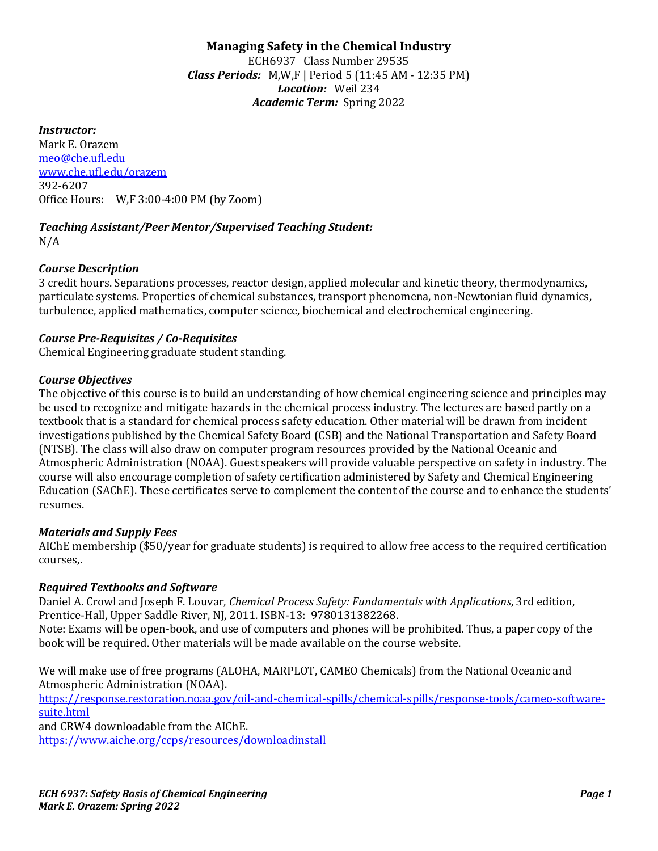# **Managing Safety in the Chemical Industry**

ECH6937 Class Number 29535 *Class Periods:* M,W,F | Period 5 (11:45 AM - 12:35 PM) *Location:* Weil 234 *Academic Term:* Spring 2022

#### *Instructor:*

Mark E. Orazem [meo@che.ufl.edu](mailto:meo@che.ufl.edu) [www.che.ufl.edu/orazem](http://www.che.ufl.edu/orazem) 392-6207 Office Hours: W,F 3:00-4:00 PM (by Zoom)

#### *Teaching Assistant/Peer Mentor/Supervised Teaching Student:* N/A

#### *Course Description*

3 credit hours. Separations processes, reactor design, applied molecular and kinetic theory, thermodynamics, particulate systems. Properties of chemical substances, transport phenomena, non-Newtonian fluid dynamics, turbulence, applied mathematics, computer science, biochemical and electrochemical engineering.

### *Course Pre-Requisites / Co-Requisites*

Chemical Engineering graduate student standing.

### *Course Objectives*

The objective of this course is to build an understanding of how chemical engineering science and principles may be used to recognize and mitigate hazards in the chemical process industry. The lectures are based partly on a textbook that is a standard for chemical process safety education. Other material will be drawn from incident investigations published by the Chemical Safety Board (CSB) and the National Transportation and Safety Board (NTSB). The class will also draw on computer program resources provided by the National Oceanic and Atmospheric Administration (NOAA). Guest speakers will provide valuable perspective on safety in industry. The course will also encourage completion of safety certification administered by Safety and Chemical Engineering Education (SAChE). These certificates serve to complement the content of the course and to enhance the students' resumes.

#### *Materials and Supply Fees*

AIChE membership (\$50/year for graduate students) is required to allow free access to the required certification courses,.

#### *Required Textbooks and Software*

Daniel A. Crowl and Joseph F. Louvar, *Chemical Process Safety: Fundamentals with Applications*, 3rd edition, Prentice-Hall, Upper Saddle River, NJ, 2011. ISBN-13: 9780131382268. Note: Exams will be open-book, and use of computers and phones will be prohibited. Thus, a paper copy of the

book will be required. Other materials will be made available on the course website.

We will make use of free programs (ALOHA, MARPLOT, CAMEO Chemicals) from the National Oceanic and Atmospheric Administration (NOAA).

[https://response.restoration.noaa.gov/oil-and-chemical-spills/chemical-spills/response-tools/cameo-software](https://response.restoration.noaa.gov/oil-and-chemical-spills/chemical-spills/response-tools/cameo-software-suite.html)[suite.html](https://response.restoration.noaa.gov/oil-and-chemical-spills/chemical-spills/response-tools/cameo-software-suite.html)

and CRW4 downloadable from the AIChE. <https://www.aiche.org/ccps/resources/downloadinstall>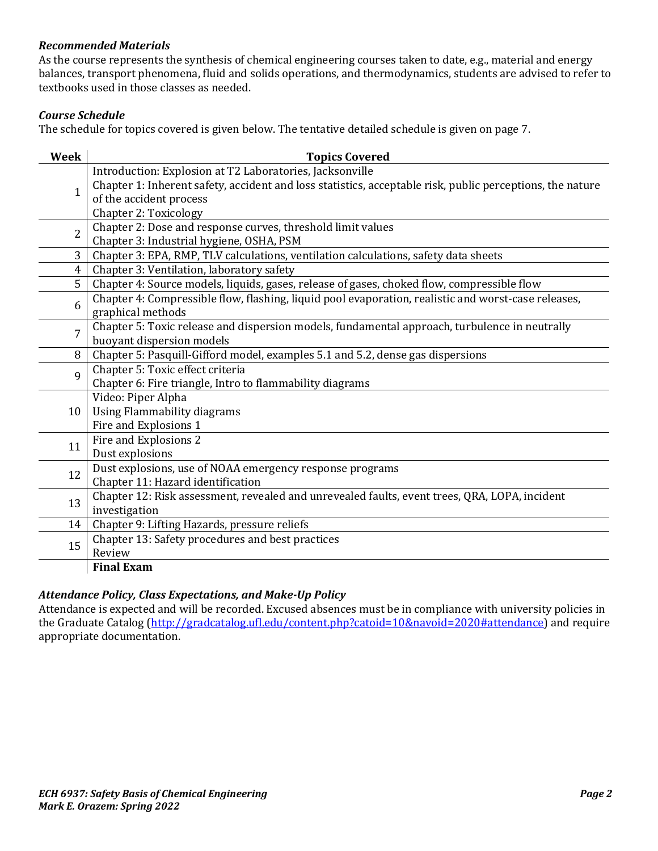## *Recommended Materials*

As the course represents the synthesis of chemical engineering courses taken to date, e.g., material and energy balances, transport phenomena, fluid and solids operations, and thermodynamics, students are advised to refer to textbooks used in those classes as needed.

# *Course Schedule*

The schedule for topics covered is given below. The tentative detailed schedule is given on page 7.

| <b>Week</b>    | <b>Topics Covered</b>                                                                                                      |
|----------------|----------------------------------------------------------------------------------------------------------------------------|
| $\mathbf{1}$   | Introduction: Explosion at T2 Laboratories, Jacksonville                                                                   |
|                | Chapter 1: Inherent safety, accident and loss statistics, acceptable risk, public perceptions, the nature                  |
|                | of the accident process                                                                                                    |
|                | <b>Chapter 2: Toxicology</b>                                                                                               |
| $\overline{2}$ | Chapter 2: Dose and response curves, threshold limit values                                                                |
|                | Chapter 3: Industrial hygiene, OSHA, PSM                                                                                   |
| 3              | Chapter 3: EPA, RMP, TLV calculations, ventilation calculations, safety data sheets                                        |
| 4              | Chapter 3: Ventilation, laboratory safety                                                                                  |
| 5              | Chapter 4: Source models, liquids, gases, release of gases, choked flow, compressible flow                                 |
| 6              | Chapter 4: Compressible flow, flashing, liquid pool evaporation, realistic and worst-case releases,                        |
|                | graphical methods                                                                                                          |
| 7              | Chapter 5: Toxic release and dispersion models, fundamental approach, turbulence in neutrally<br>buoyant dispersion models |
| 8              | Chapter 5: Pasquill-Gifford model, examples 5.1 and 5.2, dense gas dispersions                                             |
| $\mathbf{q}$   | Chapter 5: Toxic effect criteria                                                                                           |
|                | Chapter 6: Fire triangle, Intro to flammability diagrams                                                                   |
|                | Video: Piper Alpha                                                                                                         |
| 10             | Using Flammability diagrams                                                                                                |
|                | Fire and Explosions 1                                                                                                      |
|                | Fire and Explosions 2                                                                                                      |
| 11             | Dust explosions                                                                                                            |
|                | Dust explosions, use of NOAA emergency response programs                                                                   |
| 12             | Chapter 11: Hazard identification                                                                                          |
| 13             | Chapter 12: Risk assessment, revealed and unrevealed faults, event trees, QRA, LOPA, incident                              |
|                | investigation                                                                                                              |
| 14             | Chapter 9: Lifting Hazards, pressure reliefs                                                                               |
| 15             | Chapter 13: Safety procedures and best practices                                                                           |
|                | Review                                                                                                                     |
|                | <b>Final Exam</b>                                                                                                          |

## *Attendance Policy, Class Expectations, and Make-Up Policy*

Attendance is expected and will be recorded. Excused absences must be in compliance with university policies in the Graduate Catalog [\(http://gradcatalog.ufl.edu/content.php?catoid=10&navoid=2020#attendance\)](http://gradcatalog.ufl.edu/content.php?catoid=10&navoid=2020#attendance) and require appropriate documentation.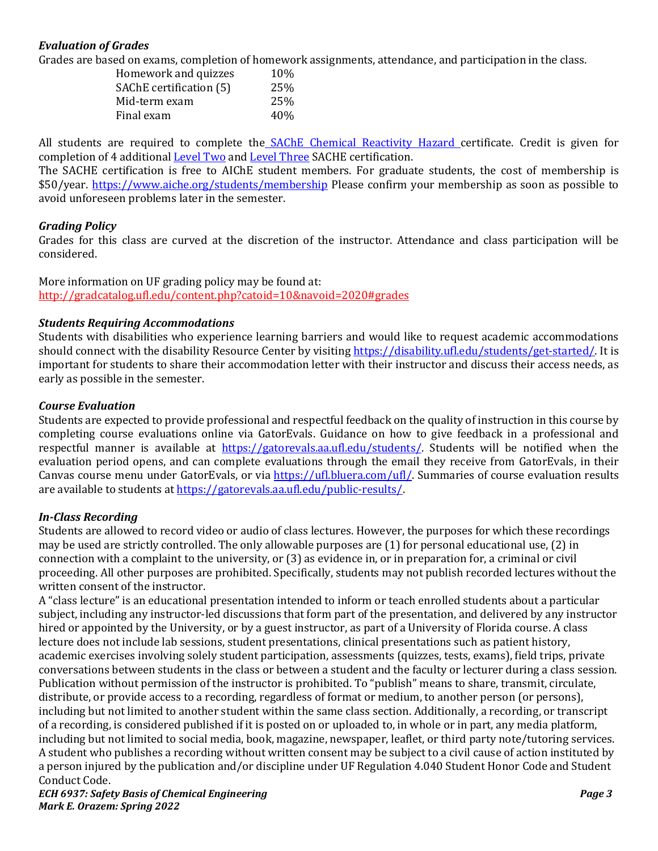# *Evaluation of Grades*

Grades are based on exams, completion of homework assignments, attendance, and participation in the class.

| Homework and quizzes    | 10% |
|-------------------------|-----|
| SAChE certification (5) | 25% |
| Mid-term exam           | 25% |
| Final exam              | 40% |
|                         |     |

All students are required to complete the [SAChE Chemical Reactivity Hazard c](https://www.aiche.org/academy/courses/ela962/sacher-certificate-program-chemical-reactivity-hazards)ertificate. Credit is given for completion of 4 additional [Level Two](https://www.aiche.org/ccps/community/technological-communities/safety-and-chemical-engineering-education-sache/certificate-program/Level-Two-Intermediate-Curriculum) an[d Level Three](https://www.aiche.org/ccps/community/technological-communities/safety-and-chemical-engineering-education-sache/certificate-program/Level-Three-Advanced-Curriculum) SACHE certification.

The SACHE certification is free to AIChE student members. For graduate students, the cost of membership is \$50/year.<https://www.aiche.org/students/membership> Please confirm your membership as soon as possible to avoid unforeseen problems later in the semester.

## *Grading Policy*

Grades for this class are curved at the discretion of the instructor. Attendance and class participation will be considered.

More information on UF grading policy may be found at: <http://gradcatalog.ufl.edu/content.php?catoid=10&navoid=2020#grades>

## *Students Requiring Accommodations*

Students with disabilities who experience learning barriers and would like to request academic accommodations should connect with the disability Resource Center by visiting [https://disability.ufl.edu/students/get-started/.](https://disability.ufl.edu/students/get-started/) It is important for students to share their accommodation letter with their instructor and discuss their access needs, as early as possible in the semester.

### *Course Evaluation*

Students are expected to provide professional and respectful feedback on the quality of instruction in this course by completing course evaluations online via GatorEvals. Guidance on how to give feedback in a professional and respectful manner is available at [https://gatorevals.aa.ufl.edu/students/.](https://gatorevals.aa.ufl.edu/students/) Students will be notified when the evaluation period opens, and can complete evaluations through the email they receive from GatorEvals, in their Canvas course menu under GatorEvals, or via [https://ufl.bluera.com/ufl/.](https://ufl.bluera.com/ufl/) Summaries of course evaluation results are available to students a[t https://gatorevals.aa.ufl.edu/public-results/.](https://gatorevals.aa.ufl.edu/public-results/)

## *In-Class Recording*

Students are allowed to record video or audio of class lectures. However, the purposes for which these recordings may be used are strictly controlled. The only allowable purposes are (1) for personal educational use, (2) in connection with a complaint to the university, or (3) as evidence in, or in preparation for, a criminal or civil proceeding. All other purposes are prohibited. Specifically, students may not publish recorded lectures without the written consent of the instructor.

A "class lecture" is an educational presentation intended to inform or teach enrolled students about a particular subject, including any instructor-led discussions that form part of the presentation, and delivered by any instructor hired or appointed by the University, or by a guest instructor, as part of a University of Florida course. A class lecture does not include lab sessions, student presentations, clinical presentations such as patient history, academic exercises involving solely student participation, assessments (quizzes, tests, exams), field trips, private conversations between students in the class or between a student and the faculty or lecturer during a class session. Publication without permission of the instructor is prohibited. To "publish" means to share, transmit, circulate, distribute, or provide access to a recording, regardless of format or medium, to another person (or persons), including but not limited to another student within the same class section. Additionally, a recording, or transcript of a recording, is considered published if it is posted on or uploaded to, in whole or in part, any media platform, including but not limited to social media, book, magazine, newspaper, leaflet, or third party note/tutoring services. A student who publishes a recording without written consent may be subject to a civil cause of action instituted by a person injured by the publication and/or discipline under UF Regulation 4.040 Student Honor Code and Student Conduct Code.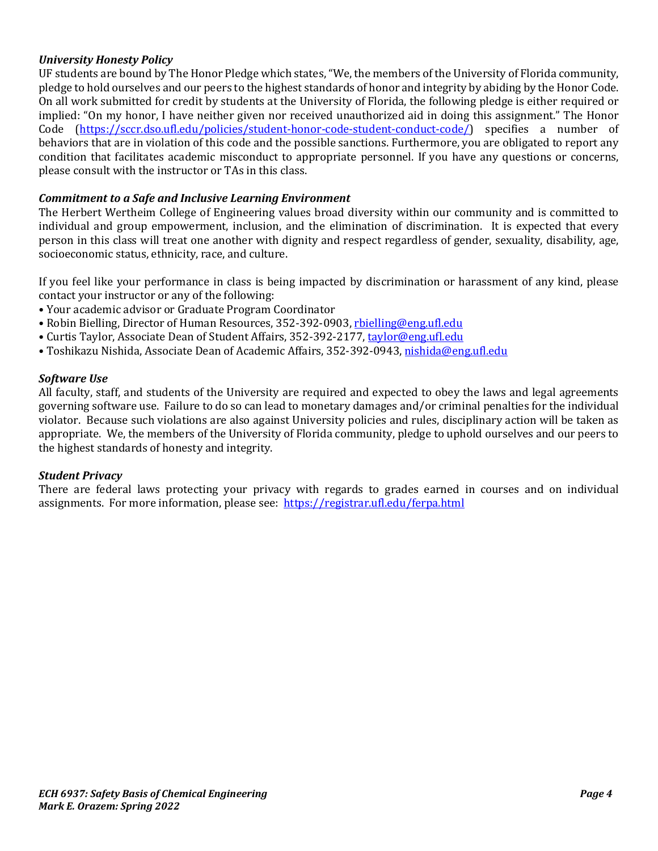# *University Honesty Policy*

UF students are bound by The Honor Pledge which states, "We, the members of the University of Florida community, pledge to hold ourselves and our peers to the highest standards of honor and integrity by abiding by the Honor Code. On all work submitted for credit by students at the University of Florida, the following pledge is either required or implied: "On my honor, I have neither given nor received unauthorized aid in doing this assignment." The Honor Code [\(https://sccr.dso.ufl.edu/policies/student-honor-code-student-conduct-code/\)](https://sccr.dso.ufl.edu/policies/student-honor-code-student-conduct-code/) specifies a number of behaviors that are in violation of this code and the possible sanctions. Furthermore, you are obligated to report any condition that facilitates academic misconduct to appropriate personnel. If you have any questions or concerns, please consult with the instructor or TAs in this class.

### *Commitment to a Safe and Inclusive Learning Environment*

The Herbert Wertheim College of Engineering values broad diversity within our community and is committed to individual and group empowerment, inclusion, and the elimination of discrimination. It is expected that every person in this class will treat one another with dignity and respect regardless of gender, sexuality, disability, age, socioeconomic status, ethnicity, race, and culture.

If you feel like your performance in class is being impacted by discrimination or harassment of any kind, please contact your instructor or any of the following:

- Your academic advisor or Graduate Program Coordinator
- Robin Bielling, Director of Human Resources, 352-392-0903, [rbielling@eng.ufl.edu](mailto:rbielling@eng.ufl.edu)
- Curtis Taylor, Associate Dean of Student Affairs, 352-392-2177[, taylor@eng.ufl.edu](mailto:taylor@eng.ufl.edu)
- Toshikazu Nishida, Associate Dean of Academic Affairs, 352-392-0943[, nishida@eng.ufl.edu](mailto:nishida@eng.ufl.edu)

#### *Software Use*

All faculty, staff, and students of the University are required and expected to obey the laws and legal agreements governing software use. Failure to do so can lead to monetary damages and/or criminal penalties for the individual violator. Because such violations are also against University policies and rules, disciplinary action will be taken as appropriate. We, the members of the University of Florida community, pledge to uphold ourselves and our peers to the highest standards of honesty and integrity.

#### *Student Privacy*

There are federal laws protecting your privacy with regards to grades earned in courses and on individual assignments. For more information, please see: <https://registrar.ufl.edu/ferpa.html>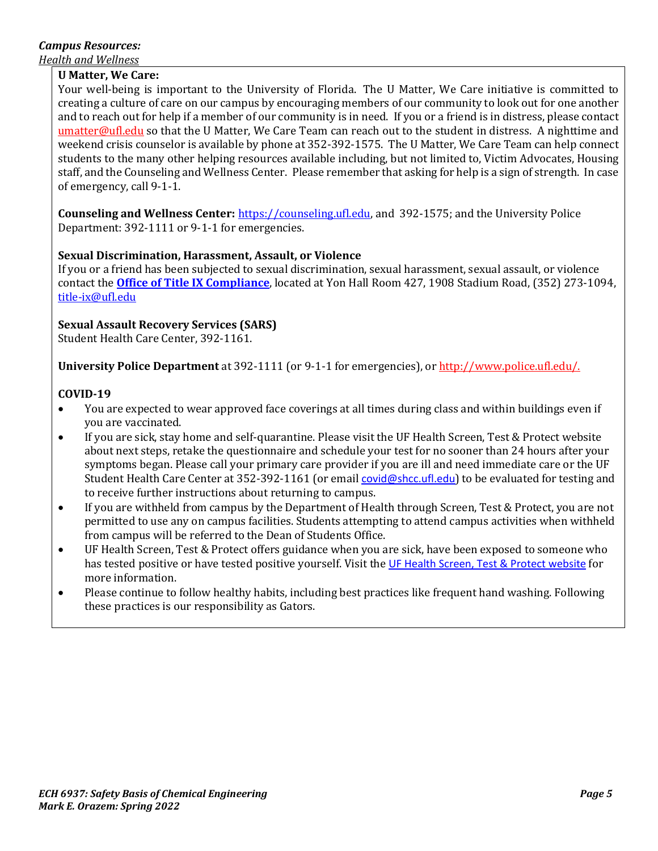# *Campus Resources:*

*Health and Wellness* 

### **U Matter, We Care:**

Your well-being is important to the University of Florida. The U Matter, We Care initiative is committed to creating a culture of care on our campus by encouraging members of our community to look out for one another and to reach out for help if a member of our community is in need. If you or a friend is in distress, please contact [umatter@ufl.edu](mailto:umatter@ufl.edu) so that the U Matter, We Care Team can reach out to the student in distress. A nighttime and weekend crisis counselor is available by phone at 352-392-1575. The U Matter, We Care Team can help connect students to the many other helping resources available including, but not limited to, Victim Advocates, Housing staff, and the Counseling and Wellness Center. Please remember that asking for help is a sign of strength. In case of emergency, call 9-1-1.

**Counseling and Wellness Center:** [https://counseling.ufl.edu,](https://counseling.ufl.edu/) and 392-1575; and the University Police Department: 392-1111 or 9-1-1 for emergencies.

## **Sexual Discrimination, Harassment, Assault, or Violence**

If you or a friend has been subjected to sexual discrimination, sexual harassment, sexual assault, or violence contact the **[Office of Title IX Compliance](https://titleix.ufl.edu/)**, located at Yon Hall Room 427, 1908 Stadium Road, (352) 273-1094, [title-ix@ufl.edu](mailto:title-ix@ufl.edu)

## **Sexual Assault Recovery Services (SARS)**

Student Health Care Center, 392-1161.

**University Police Department** at 392-1111 (or 9-1-1 for emergencies), o[r http://www.police.ufl.edu/.](http://www.police.ufl.edu/)

### **COVID-19**

- You are expected to wear approved face coverings at all times during class and within buildings even if you are vaccinated.
- If you are sick, stay home and self-quarantine. Please visit the UF Health Screen, Test & Protect website about next steps, retake the questionnaire and schedule your test for no sooner than 24 hours after your symptoms began. Please call your primary care provider if you are ill and need immediate care or the UF Student Health Care Center at 352-392-1161 (or email [covid@shcc.ufl.edu](mailto:covid@shcc.ufl.edu)) to be evaluated for testing and to receive further instructions about returning to campus.
- If you are withheld from campus by the Department of Health through Screen, Test & Protect, you are not permitted to use any on campus facilities. Students attempting to attend campus activities when withheld from campus will be referred to the Dean of Students Office.
- UF Health Screen, Test & Protect offers guidance when you are sick, have been exposed to someone who has tested positive or have tested positive yourself. Visit the [UF Health Screen, Test & Protect website](https://click.info.gator360.ufl.edu/?qs=8f0d5e01a3f7385148f144e2089093522a358a8d85cb9db73c31675d3c5e5c0d27748d40c212f544822551342f1912ea5b4f2b890d5952e8) for more information.
- Please continue to follow healthy habits, including best practices like frequent hand washing. Following these practices is our responsibility as Gators.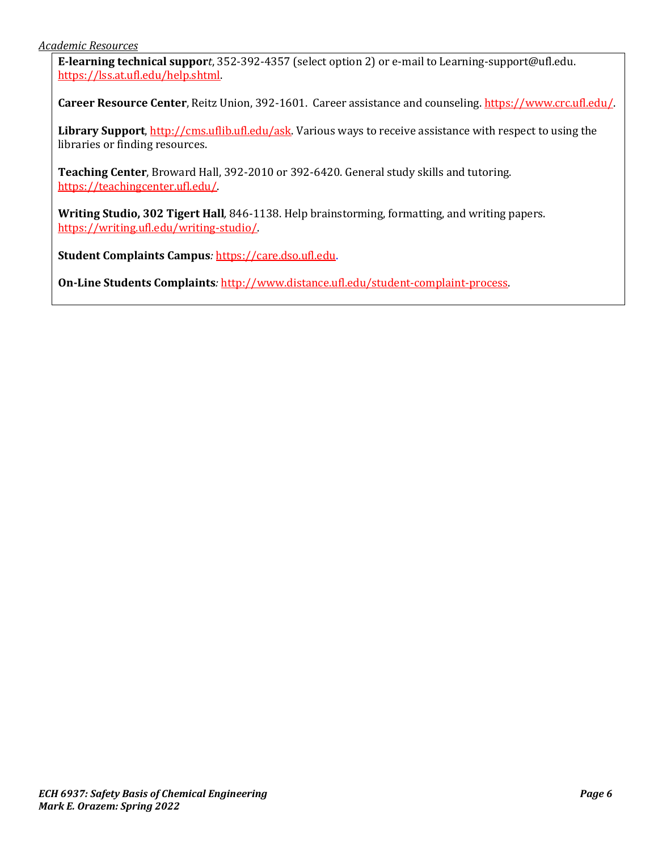**E-learning technical suppor***t*, 352-392-4357 (select option 2) or e-mail to Learning-support@ufl.edu. [https://lss.at.ufl.edu/help.shtml.](https://lss.at.ufl.edu/help.shtml)

**Career Resource Center**, Reitz Union, 392-1601. Career assistance and counseling[. https://www.crc.ufl.edu/.](https://www.crc.ufl.edu/)

**Library Support**[, http://cms.uflib.ufl.edu/ask.](http://cms.uflib.ufl.edu/ask) Various ways to receive assistance with respect to using the libraries or finding resources.

**Teaching Center**, Broward Hall, 392-2010 or 392-6420. General study skills and tutoring. [https://teachingcenter.ufl.edu/.](https://teachingcenter.ufl.edu/)

**Writing Studio, 302 Tigert Hall***,* 846-1138. Help brainstorming, formatting, and writing papers. [https://writing.ufl.edu/writing-studio/.](https://writing.ufl.edu/writing-studio/)

**Student Complaints Campus***:* [https://care.dso.ufl.edu.](https://care.dso.ufl.edu/)

**On-Line Students Complaints***:* [http://www.distance.ufl.edu/student-complaint-process.](http://www.distance.ufl.edu/student-complaint-process)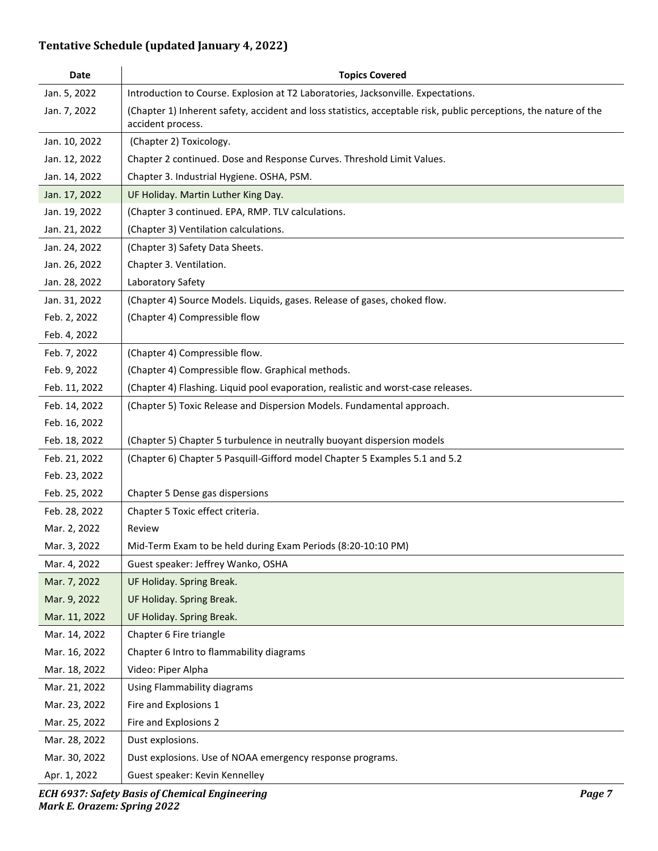# **Tentative Schedule (updated January 4, 2022)**

| Date          | <b>Topics Covered</b>                                                                                                                  |
|---------------|----------------------------------------------------------------------------------------------------------------------------------------|
| Jan. 5, 2022  | Introduction to Course. Explosion at T2 Laboratories, Jacksonville. Expectations.                                                      |
| Jan. 7, 2022  | (Chapter 1) Inherent safety, accident and loss statistics, acceptable risk, public perceptions, the nature of the<br>accident process. |
| Jan. 10, 2022 | (Chapter 2) Toxicology.                                                                                                                |
| Jan. 12, 2022 | Chapter 2 continued. Dose and Response Curves. Threshold Limit Values.                                                                 |
| Jan. 14, 2022 | Chapter 3. Industrial Hygiene. OSHA, PSM.                                                                                              |
| Jan. 17, 2022 | UF Holiday. Martin Luther King Day.                                                                                                    |
| Jan. 19, 2022 | (Chapter 3 continued. EPA, RMP. TLV calculations.                                                                                      |
| Jan. 21, 2022 | (Chapter 3) Ventilation calculations.                                                                                                  |
| Jan. 24, 2022 | (Chapter 3) Safety Data Sheets.                                                                                                        |
| Jan. 26, 2022 | Chapter 3. Ventilation.                                                                                                                |
| Jan. 28, 2022 | Laboratory Safety                                                                                                                      |
| Jan. 31, 2022 | (Chapter 4) Source Models. Liquids, gases. Release of gases, choked flow.                                                              |
| Feb. 2, 2022  | (Chapter 4) Compressible flow                                                                                                          |
| Feb. 4, 2022  |                                                                                                                                        |
| Feb. 7, 2022  | (Chapter 4) Compressible flow.                                                                                                         |
| Feb. 9, 2022  | (Chapter 4) Compressible flow. Graphical methods.                                                                                      |
| Feb. 11, 2022 | (Chapter 4) Flashing. Liquid pool evaporation, realistic and worst-case releases.                                                      |
| Feb. 14, 2022 | (Chapter 5) Toxic Release and Dispersion Models. Fundamental approach.                                                                 |
| Feb. 16, 2022 |                                                                                                                                        |
| Feb. 18, 2022 | (Chapter 5) Chapter 5 turbulence in neutrally buoyant dispersion models                                                                |
| Feb. 21, 2022 | (Chapter 6) Chapter 5 Pasquill-Gifford model Chapter 5 Examples 5.1 and 5.2                                                            |
| Feb. 23, 2022 |                                                                                                                                        |
| Feb. 25, 2022 | Chapter 5 Dense gas dispersions                                                                                                        |
| Feb. 28, 2022 | Chapter 5 Toxic effect criteria.                                                                                                       |
| Mar. 2, 2022  | Review                                                                                                                                 |
| Mar. 3, 2022  | Mid-Term Exam to be held during Exam Periods (8:20-10:10 PM)                                                                           |
| Mar. 4, 2022  | Guest speaker: Jeffrey Wanko, OSHA                                                                                                     |
| Mar. 7, 2022  | UF Holiday. Spring Break.                                                                                                              |
| Mar. 9, 2022  | UF Holiday. Spring Break.                                                                                                              |
| Mar. 11, 2022 | UF Holiday. Spring Break.                                                                                                              |
| Mar. 14, 2022 | Chapter 6 Fire triangle                                                                                                                |
| Mar. 16, 2022 | Chapter 6 Intro to flammability diagrams                                                                                               |
| Mar. 18, 2022 | Video: Piper Alpha                                                                                                                     |
| Mar. 21, 2022 | Using Flammability diagrams                                                                                                            |
| Mar. 23, 2022 | Fire and Explosions 1                                                                                                                  |
| Mar. 25, 2022 | Fire and Explosions 2                                                                                                                  |
| Mar. 28, 2022 | Dust explosions.                                                                                                                       |
| Mar. 30, 2022 | Dust explosions. Use of NOAA emergency response programs.                                                                              |
| Apr. 1, 2022  | Guest speaker: Kevin Kennelley                                                                                                         |